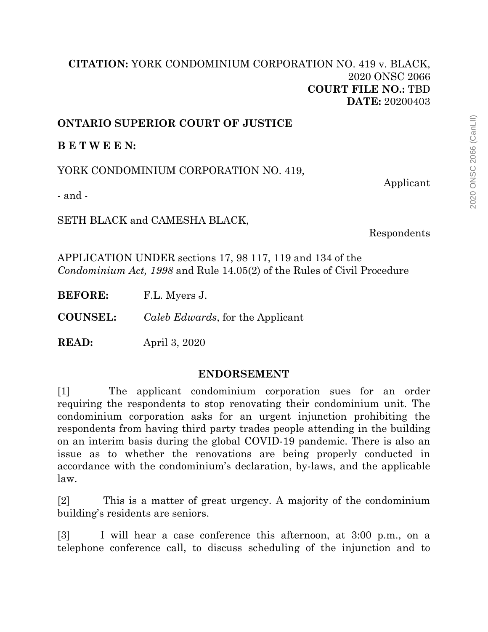## **[CITATION:](http://intra.judicialsecurity.jus.gov.on.ca/NeutralCitation/)** YORK CONDOMINIUM CORPORATION NO. 419 v. BLACK, 2020 ONSC 2066 **COURT FILE NO.:** TBD **DATE:** 20200403

## **ONTARIO SUPERIOR COURT OF JUSTICE**

**B E T W E E N:**

YORK CONDOMINIUM CORPORATION NO. 419,

Applicant

- and -

SETH BLACK and CAMESHA BLACK,

Respondents

APPLICATION UNDER sections 17, 98 117, 119 and 134 of the *Condominium Act, 1998* and Rule 14.05(2) of the Rules of Civil Procedure

**BEFORE:** F.L. Myers J.

**COUNSEL:** *Caleb Edwards*, for the Applicant

**READ:** April 3, 2020

## **ENDORSEMENT**

[1] The applicant condominium corporation sues for an order requiring the respondents to stop renovating their condominium unit. The condominium corporation asks for an urgent injunction prohibiting the respondents from having third party trades people attending in the building on an interim basis during the global COVID-19 pandemic. There is also an issue as to whether the renovations are being properly conducted in accordance with the condominium's declaration, by-laws, and the applicable law.

[2] This is a matter of great urgency. A majority of the condominium building's residents are seniors.

[3] I will hear a case conference this afternoon, at 3:00 p.m., on a telephone conference call, to discuss scheduling of the injunction and to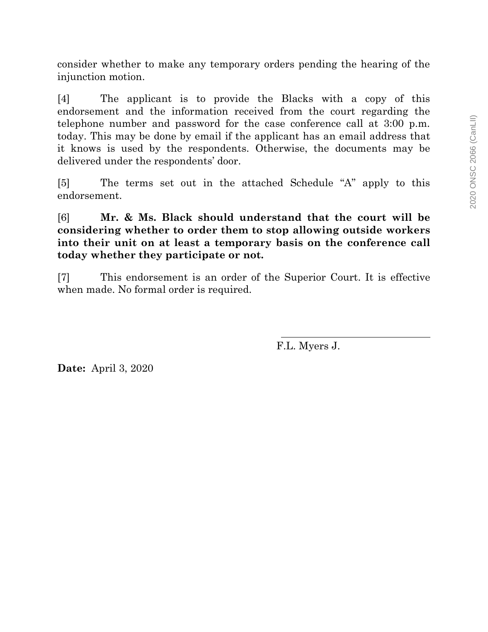consider whether to make any temporary orders pending the hearing of the injunction motion.

[4] The applicant is to provide the Blacks with a copy of this endorsement and the information received from the court regarding the telephone number and password for the case conference call at 3:00 p.m. today. This may be done by email if the applicant has an email address that it knows is used by the respondents. Otherwise, the documents may be delivered under the respondents' door.

[5] The terms set out in the attached Schedule "A" apply to this endorsement.

[6] **Mr. & Ms. Black should understand that the court will be considering whether to order them to stop allowing outside workers into their unit on at least a temporary basis on the conference call today whether they participate or not.**

[7] This endorsement is an order of the Superior Court. It is effective when made. No formal order is required.

F.L. Myers J.

**Date:** April 3, 2020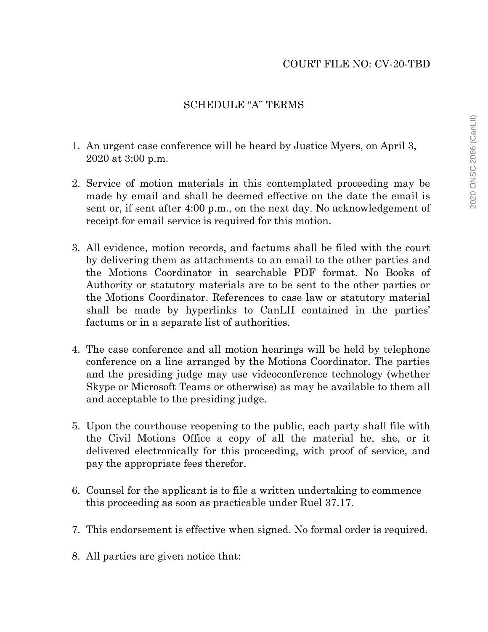## SCHEDULE "A" TERMS

- 1. An urgent case conference will be heard by Justice Myers, on April 3, 2020 at 3:00 p.m.
- 2. Service of motion materials in this contemplated proceeding may be made by email and shall be deemed effective on the date the email is sent or, if sent after 4:00 p.m., on the next day. No acknowledgement of receipt for email service is required for this motion.
- 3. All evidence, motion records, and factums shall be filed with the court by delivering them as attachments to an email to the other parties and the Motions Coordinator in searchable PDF format. No Books of Authority or statutory materials are to be sent to the other parties or the Motions Coordinator. References to case law or statutory material shall be made by hyperlinks to CanLII contained in the parties' factums or in a separate list of authorities.
- 4. The case conference and all motion hearings will be held by telephone conference on a line arranged by the Motions Coordinator. The parties and the presiding judge may use videoconference technology (whether Skype or Microsoft Teams or otherwise) as may be available to them all and acceptable to the presiding judge.
- 5. Upon the courthouse reopening to the public, each party shall file with the Civil Motions Office a copy of all the material he, she, or it delivered electronically for this proceeding, with proof of service, and pay the appropriate fees therefor.
- 6. Counsel for the applicant is to file a written undertaking to commence this proceeding as soon as practicable under Ruel 37.17.
- 7. This endorsement is effective when signed. No formal order is required.
- 8. All parties are given notice that: